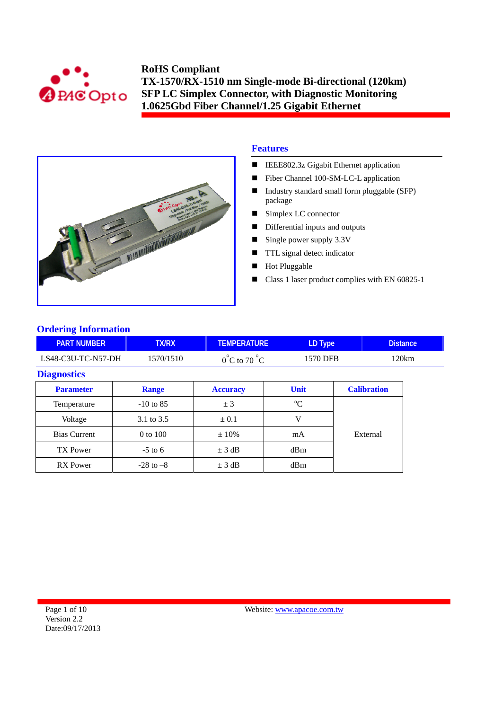



# **Features**

- IEEE802.3z Gigabit Ethernet application
- Fiber Channel 100-SM-LC-L application
- Industry standard small form pluggable (SFP) package
- Simplex LC connector
- Differential inputs and outputs
- Single power supply  $3.3V$
- **TTL** signal detect indicator
- Hot Pluggable
- Class 1 laser product complies with EN 60825-1

# **Ordering Information**

| <b>PART NUMBER</b>  | <b>TX/RX</b>  | <b>TEMPERATURE</b>               | LD Type     |          | <b>Distance</b>    |
|---------------------|---------------|----------------------------------|-------------|----------|--------------------|
| LS48-C3U-TC-N57-DH  | 1570/1510     | $0^{\circ}$ C to 70 $^{\circ}$ C | 1570 DFB    |          | 120km              |
| <b>Diagnostics</b>  |               |                                  |             |          |                    |
| <b>Parameter</b>    | Range         | <b>Accuracy</b>                  | <b>Unit</b> |          | <b>Calibration</b> |
| Temperature         | $-10$ to 85   | ± 3                              | $^{\circ}C$ |          |                    |
| Voltage             | 3.1 to 3.5    | $\pm 0.1$                        | V           |          |                    |
| <b>Bias Current</b> | 0 to 100      | $\pm 10\%$                       | mA          | External |                    |
| <b>TX Power</b>     | $-5$ to 6     | $\pm$ 3 dB                       | dBm         |          |                    |
| <b>RX</b> Power     | $-28$ to $-8$ | $\pm$ 3 dB                       | dBm         |          |                    |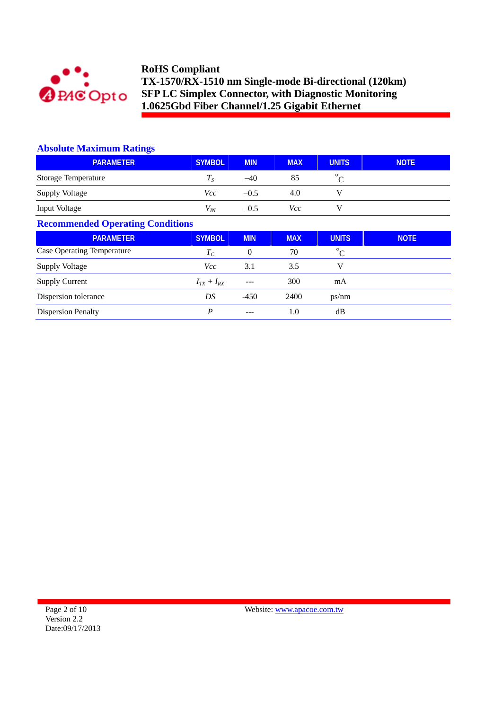

## **Absolute Maximum Ratings**

| <b>PARAMETER</b>                        | <b>SYMBOL</b>     | <b>MIN</b>       | <b>MAX</b> | <b>UNITS</b> | <b>NOTE</b> |  |  |
|-----------------------------------------|-------------------|------------------|------------|--------------|-------------|--|--|
| <b>Storage Temperature</b>              | $T_S$             | $-40$            | 85         | $^{\circ}C$  |             |  |  |
| <b>Supply Voltage</b>                   | <i>Vcc</i>        | $-0.5$           | 4.0        | V            |             |  |  |
| Input Voltage                           | $V_{I\!N}$        | $-0.5$           | Vcc        | V            |             |  |  |
| <b>Recommended Operating Conditions</b> |                   |                  |            |              |             |  |  |
| <b>PARAMETER</b>                        | <b>SYMBOL</b>     | <b>MIN</b>       | <b>MAX</b> | <b>UNITS</b> | <b>NOTE</b> |  |  |
| <b>Case Operating Temperature</b>       | $T_C$             | $\boldsymbol{0}$ | 70         | $^{\circ}$ C |             |  |  |
| <b>Supply Voltage</b>                   | <i>Vcc</i>        | 3.1              | 3.5        | V            |             |  |  |
| <b>Supply Current</b>                   | $I_{TX} + I_{RX}$ | ---              | 300        | mA           |             |  |  |
| Dispersion tolerance                    | DS                | $-450$           | 2400       | ps/nm        |             |  |  |
| <b>Dispersion Penalty</b>               | $\boldsymbol{P}$  | ---              | 1.0        | dB           |             |  |  |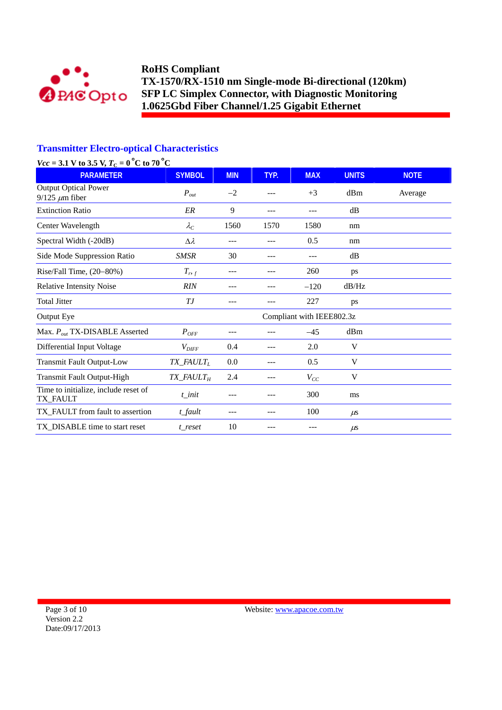

# **Transmitter Electro-optical Characteristics**

| $Vcc = 3.1$ V to 3.5 V, $T_C = 0$ °C to 70 °C        |                                    |            |      |                           |              |             |
|------------------------------------------------------|------------------------------------|------------|------|---------------------------|--------------|-------------|
| <b>PARAMETER</b>                                     | <b>SYMBOL</b>                      | <b>MIN</b> | TYP. | <b>MAX</b>                | <b>UNITS</b> | <b>NOTE</b> |
| <b>Output Optical Power</b><br>$9/125 \ \mu m$ fiber | $P_{out}$                          | $-2$       | ---  | $+3$                      | dBm          | Average     |
| <b>Extinction Ratio</b>                              | ER                                 | 9          | ---  | ---                       | dB           |             |
| Center Wavelength                                    | $\lambda_C$                        | 1560       | 1570 | 1580                      | nm           |             |
| Spectral Width (-20dB)                               | $\Delta \lambda$                   | ---        |      | 0.5                       | nm           |             |
| Side Mode Suppression Ratio                          | <b>SMSR</b>                        | 30         | ---  |                           | dB           |             |
| Rise/Fall Time, (20-80%)                             | $T_{r,f}$                          | ---        |      | 260                       | ps           |             |
| <b>Relative Intensity Noise</b>                      | <b>RIN</b>                         |            |      | $-120$                    | dB/Hz        |             |
| <b>Total Jitter</b>                                  | ТJ                                 |            |      | 227                       | ps           |             |
| Output Eye                                           |                                    |            |      | Compliant with IEEE802.3z |              |             |
| Max. $P_{out}$ TX-DISABLE Asserted                   | $P_{OFF}$                          | ---        |      | $-45$                     | dBm          |             |
| Differential Input Voltage                           | $V_{\text{DIFF}}$                  | 0.4        | ---  | 2.0                       | V            |             |
| <b>Transmit Fault Output-Low</b>                     | TX_FAULTL                          | 0.0        | ---  | 0.5                       | V            |             |
| Transmit Fault Output-High                           | $TX$ <sub>-FAULT<sub>H</sub></sub> | 2.4        | ---  | $V_{CC}$                  | V            |             |
| Time to initialize, include reset of<br>TX_FAULT     | $t$ _init                          |            |      | 300                       | ms           |             |
| TX_FAULT from fault to assertion                     | t_fault                            | ---        | ---  | 100                       | $\mu$ s      |             |
| TX_DISABLE time to start reset                       | t reset                            | 10         | ---  | ---                       | $\mu$ s      |             |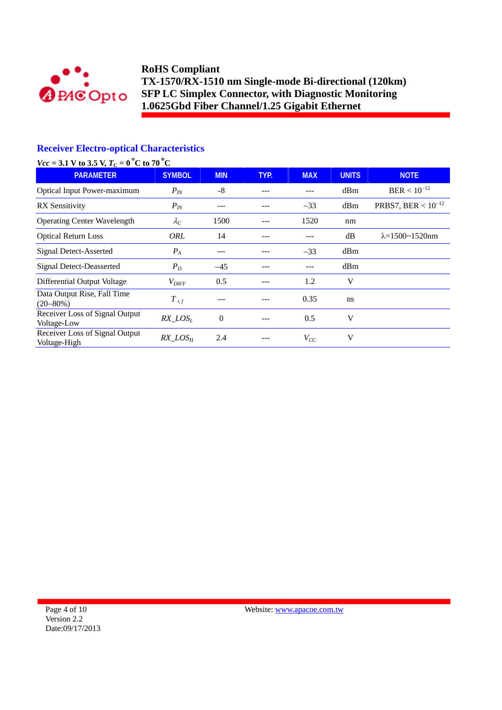

# **Receiver Electro-optical Characteristics**

| $Vcc = 3.1$ V to 3.5 V, $T_C = 0$ °C to 70 °C  |                     |                |      |            |              |                            |
|------------------------------------------------|---------------------|----------------|------|------------|--------------|----------------------------|
| <b>PARAMETER</b>                               | <b>SYMBOL</b>       | <b>MIN</b>     | TYP. | <b>MAX</b> | <b>UNITS</b> | <b>NOTE</b>                |
| <b>Optical Input Power-maximum</b>             | $P_{IN}$            | $-8$           | ---  | ---        | dBm          | $BER < 10^{-12}$           |
| <b>RX</b> Sensitivity                          | $P_{IN}$            | ---            | ---  | $-33$      | dBm          | PRBS7, BER < $10^{-12}$    |
| <b>Operating Center Wavelength</b>             | $\lambda_C$         | 1500           | ---  | 1520       | nm           |                            |
| <b>Optical Return Loss</b>                     | ORL                 | 14             | ---  | ---        | dB           | $\lambda = 1500 - 1520$ nm |
| Signal Detect-Asserted                         | $P_{A}$             | ---            |      | $-33$      | dBm          |                            |
| <b>Signal Detect-Deasserted</b>                | $P_D$               | $-45$          |      | ---        | dBm          |                            |
| Differential Output Voltage                    | $V_{\text{DIFF}}$   | 0.5            |      | 1.2        | V            |                            |
| Data Output Rise, Fall Time<br>$(20 - 80\%)$   | $T_{r,f}$           | ---            |      | 0.35       | ns           |                            |
| Receiver Loss of Signal Output<br>Voltage-Low  | $RX\_LOS_L$         | $\overline{0}$ | ---  | 0.5        | V            |                            |
| Receiver Loss of Signal Output<br>Voltage-High | RX LOS <sub>H</sub> | 2.4            | ---  | $V_{CC}$   | V            |                            |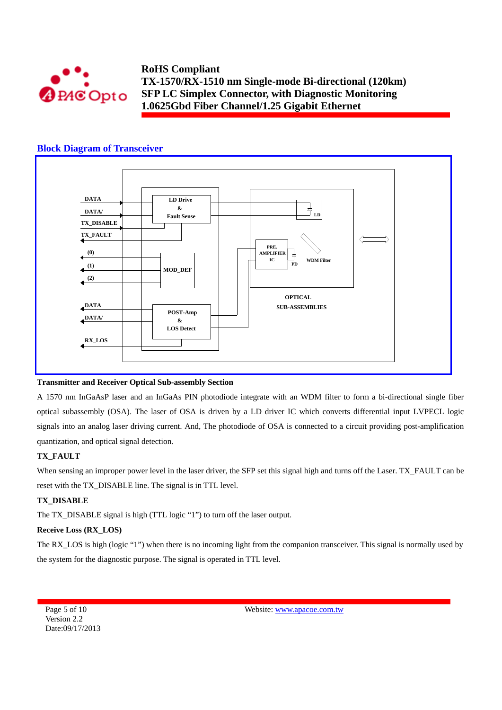

### **Block Diagram of Transceiver**



#### **Transmitter and Receiver Optical Sub-assembly Section**

A 1570 nm InGaAsP laser and an InGaAs PIN photodiode integrate with an WDM filter to form a bi-directional single fiber optical subassembly (OSA). The laser of OSA is driven by a LD driver IC which converts differential input LVPECL logic signals into an analog laser driving current. And, The photodiode of OSA is connected to a circuit providing post-amplification quantization, and optical signal detection.

#### **TX\_FAULT**

When sensing an improper power level in the laser driver, the SFP set this signal high and turns off the Laser. TX\_FAULT can be reset with the TX\_DISABLE line. The signal is in TTL level.

#### **TX\_DISABLE**

The TX\_DISABLE signal is high (TTL logic "1") to turn off the laser output.

### **Receive Loss (RX\_LOS)**

The RX\_LOS is high (logic "1") when there is no incoming light from the companion transceiver. This signal is normally used by the system for the diagnostic purpose. The signal is operated in TTL level.

Page 5 of 10 Version 2.2 Date:09/17/2013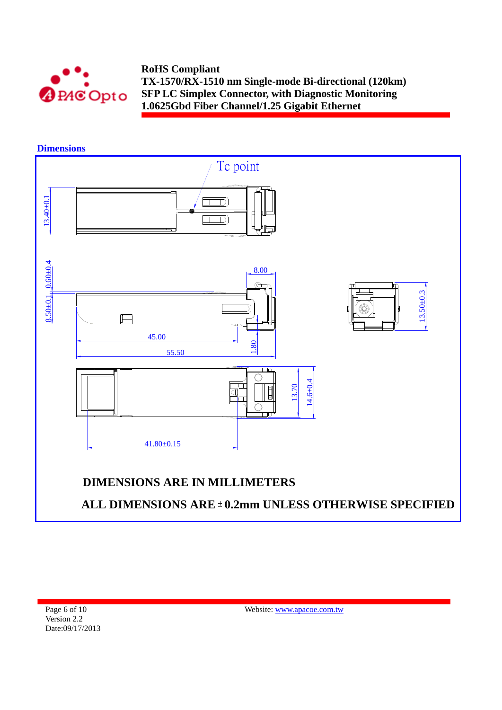

**Dimensions** 

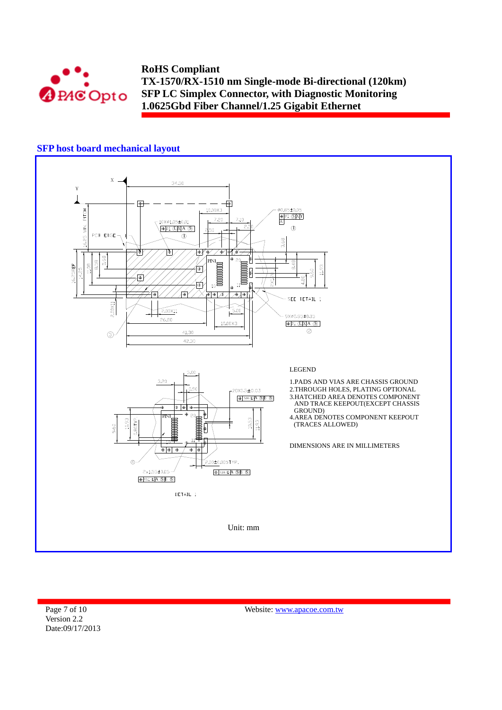

# **SFP host board mechanical layout**



Page 7 of 10 Version 2.2 Date:09/17/2013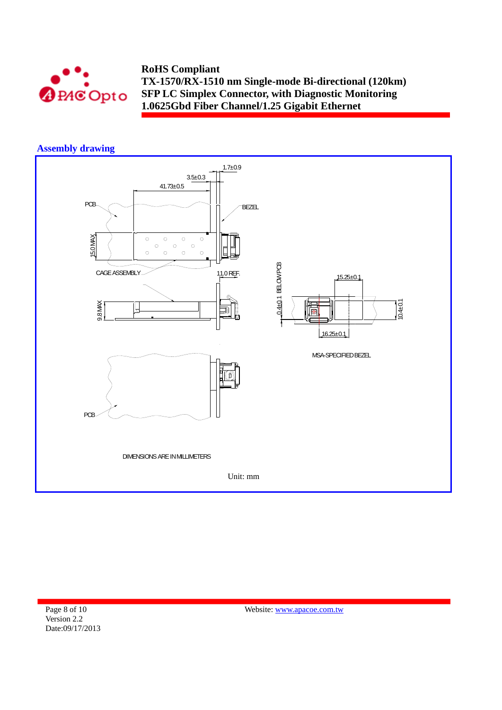

## **Assembly drawing**



Page 8 of 10 Version 2.2 Date:09/17/2013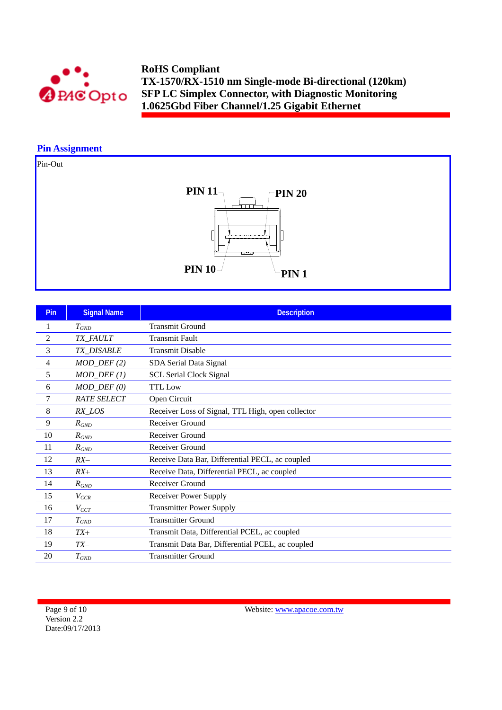

## **Pin Assignment**

Pin-Out



| Pin            | <b>Signal Name</b>      | <b>Description</b>                                |
|----------------|-------------------------|---------------------------------------------------|
| 1              | $T_{GND}$               | <b>Transmit Ground</b>                            |
| $\overline{c}$ | TX_FAULT                | <b>Transmit Fault</b>                             |
| 3              | TX_DISABLE              | <b>Transmit Disable</b>                           |
| 4              | $MOD_$ DEF(2)           | SDA Serial Data Signal                            |
| 5              | $MOD_$ <i>DEF</i> $(1)$ | <b>SCL Serial Clock Signal</b>                    |
| 6              | $MOD_$ $DEF (0)$        | <b>TTL</b> Low                                    |
| 7              | <b>RATE SELECT</b>      | Open Circuit                                      |
| 8              | $RX$ <sub>LOS</sub>     | Receiver Loss of Signal, TTL High, open collector |
| 9              | $R_{GND}$               | Receiver Ground                                   |
| 10             | $R_{GND}$               | Receiver Ground                                   |
| 11             | $R_{GND}$               | Receiver Ground                                   |
| 12             | $RX-$                   | Receive Data Bar, Differential PECL, ac coupled   |
| 13             | $RX+$                   | Receive Data, Differential PECL, ac coupled       |
| 14             | $R_{GND}$               | Receiver Ground                                   |
| 15             | $V_{CCR}$               | <b>Receiver Power Supply</b>                      |
| 16             | $V_{CCT}$               | <b>Transmitter Power Supply</b>                   |
| 17             | $T_{GND}$               | <b>Transmitter Ground</b>                         |
| 18             | $TX+$                   | Transmit Data, Differential PCEL, ac coupled      |
| 19             | $TX-$                   | Transmit Data Bar, Differential PCEL, ac coupled  |
| 20             | $T_{GND}$               | <b>Transmitter Ground</b>                         |

Page 9 of 10 Version 2.2 Date:09/17/2013